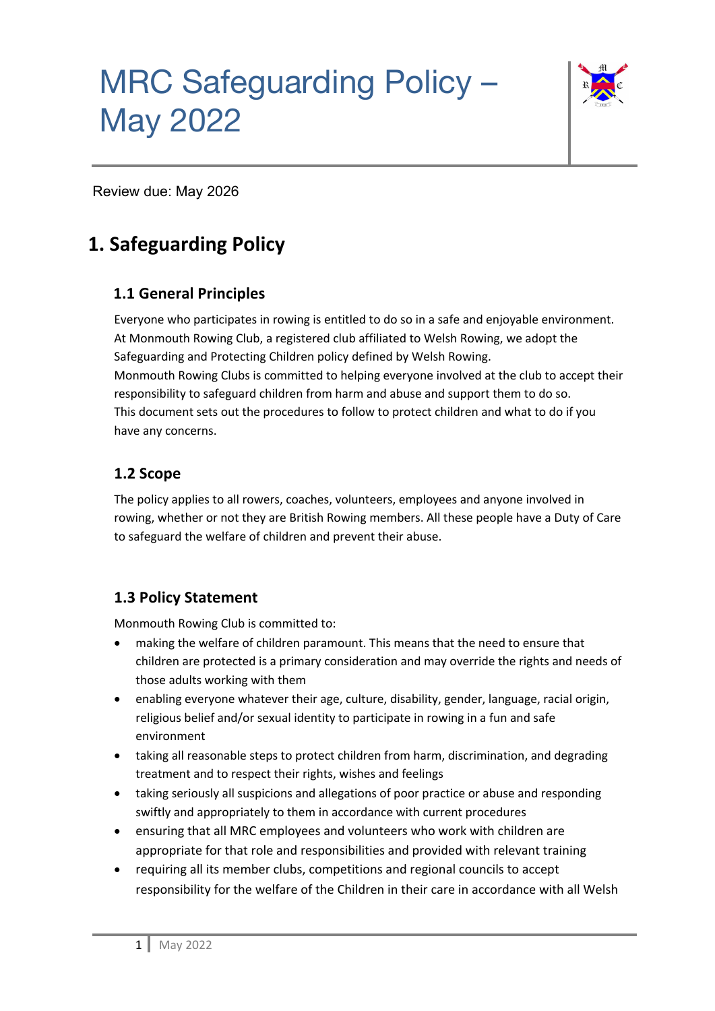

Review due: May 2026

### **1. Safeguarding Policy**

### **1.1 General Principles**

Everyone who participates in rowing is entitled to do so in a safe and enjoyable environment. At Monmouth Rowing Club, a registered club affiliated to Welsh Rowing, we adopt the Safeguarding and Protecting Children policy defined by Welsh Rowing. Monmouth Rowing Clubs is committed to helping everyone involved at the club to accept their responsibility to safeguard children from harm and abuse and support them to do so. This document sets out the procedures to follow to protect children and what to do if you have any concerns.

### **1.2 Scope**

The policy applies to all rowers, coaches, volunteers, employees and anyone involved in rowing, whether or not they are British Rowing members. All these people have a Duty of Care to safeguard the welfare of children and prevent their abuse.

### **1.3 Policy Statement**

Monmouth Rowing Club is committed to:

- making the welfare of children paramount. This means that the need to ensure that children are protected is a primary consideration and may override the rights and needs of those adults working with them
- enabling everyone whatever their age, culture, disability, gender, language, racial origin, religious belief and/or sexual identity to participate in rowing in a fun and safe environment
- taking all reasonable steps to protect children from harm, discrimination, and degrading treatment and to respect their rights, wishes and feelings
- taking seriously all suspicions and allegations of poor practice or abuse and responding swiftly and appropriately to them in accordance with current procedures
- ensuring that all MRC employees and volunteers who work with children are appropriate for that role and responsibilities and provided with relevant training
- requiring all its member clubs, competitions and regional councils to accept responsibility for the welfare of the Children in their care in accordance with all Welsh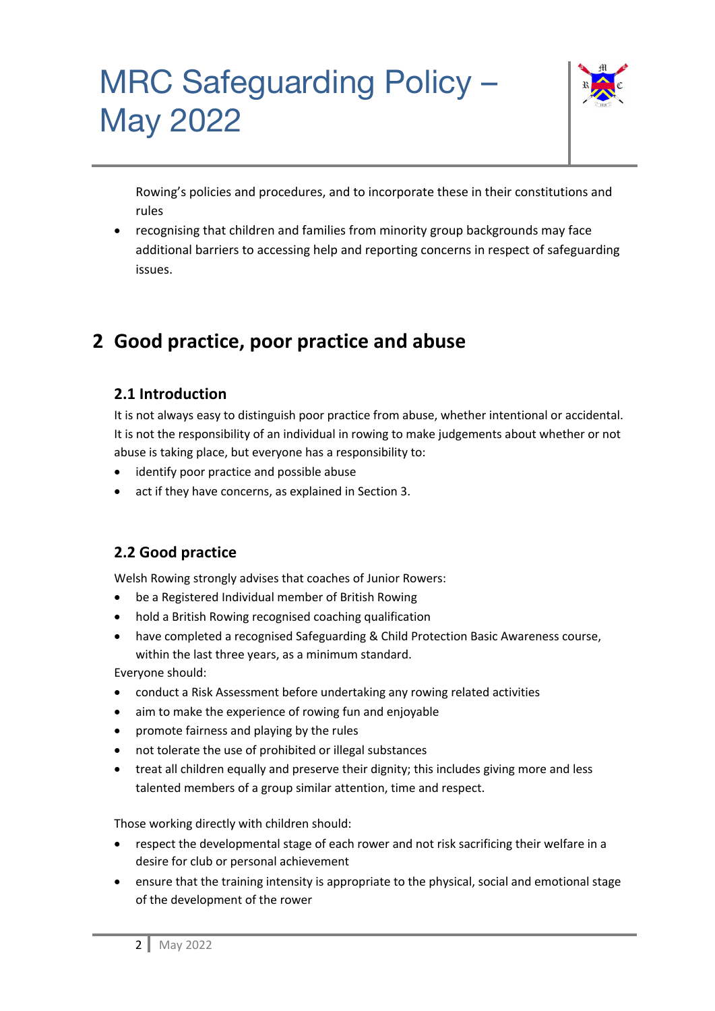

Rowing's policies and procedures, and to incorporate these in their constitutions and rules

• recognising that children and families from minority group backgrounds may face additional barriers to accessing help and reporting concerns in respect of safeguarding issues.

### **2 Good practice, poor practice and abuse**

### **2.1 Introduction**

It is not always easy to distinguish poor practice from abuse, whether intentional or accidental. It is not the responsibility of an individual in rowing to make judgements about whether or not abuse is taking place, but everyone has a responsibility to:

- identify poor practice and possible abuse
- act if they have concerns, as explained in Section 3.

### **2.2 Good practice**

Welsh Rowing strongly advises that coaches of Junior Rowers:

- be a Registered Individual member of British Rowing
- hold a British Rowing recognised coaching qualification
- have completed a recognised Safeguarding & Child Protection Basic Awareness course, within the last three years, as a minimum standard.

Everyone should:

- conduct a Risk Assessment before undertaking any rowing related activities
- aim to make the experience of rowing fun and enjoyable
- promote fairness and playing by the rules
- not tolerate the use of prohibited or illegal substances
- treat all children equally and preserve their dignity; this includes giving more and less talented members of a group similar attention, time and respect.

Those working directly with children should:

- respect the developmental stage of each rower and not risk sacrificing their welfare in a desire for club or personal achievement
- ensure that the training intensity is appropriate to the physical, social and emotional stage of the development of the rower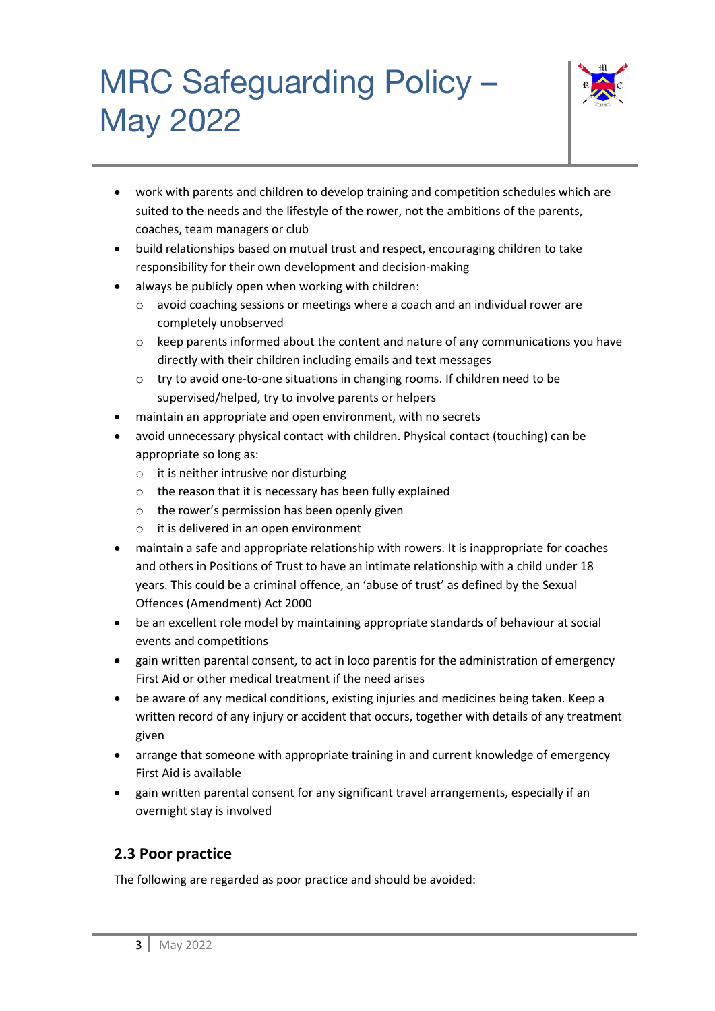

- work with parents and children to develop training and competition schedules which are suited to the needs and the lifestyle of the rower, not the ambitions of the parents, coaches, team managers or club
- build relationships based on mutual trust and respect, encouraging children to take responsibility for their own development and decision-making
- always be publicly open when working with children:
	- o avoid coaching sessions or meetings where a coach and an individual rower are completely unobserved
	- $\circ$  keep parents informed about the content and nature of any communications you have directly with their children including emails and text messages
	- o try to avoid one-to-one situations in changing rooms. If children need to be supervised/helped, try to involve parents or helpers
- maintain an appropriate and open environment, with no secrets
- avoid unnecessary physical contact with children. Physical contact (touching) can be appropriate so long as:
	- o it is neither intrusive nor disturbing
	- o the reason that it is necessary has been fully explained
	- o the rower's permission has been openly given
	- o it is delivered in an open environment
- maintain a safe and appropriate relationship with rowers. It is inappropriate for coaches and others in Positions of Trust to have an intimate relationship with a child under 18 years. This could be a criminal offence, an 'abuse of trust' as defined by the Sexual Offences (Amendment) Act 2000
- be an excellent role model by maintaining appropriate standards of behaviour at social events and competitions
- gain written parental consent, to act in loco parentis for the administration of emergency First Aid or other medical treatment if the need arises
- be aware of any medical conditions, existing injuries and medicines being taken. Keep a written record of any injury or accident that occurs, together with details of any treatment given
- arrange that someone with appropriate training in and current knowledge of emergency First Aid is available
- gain written parental consent for any significant travel arrangements, especially if an overnight stay is involved

#### **2.3 Poor practice**

The following are regarded as poor practice and should be avoided: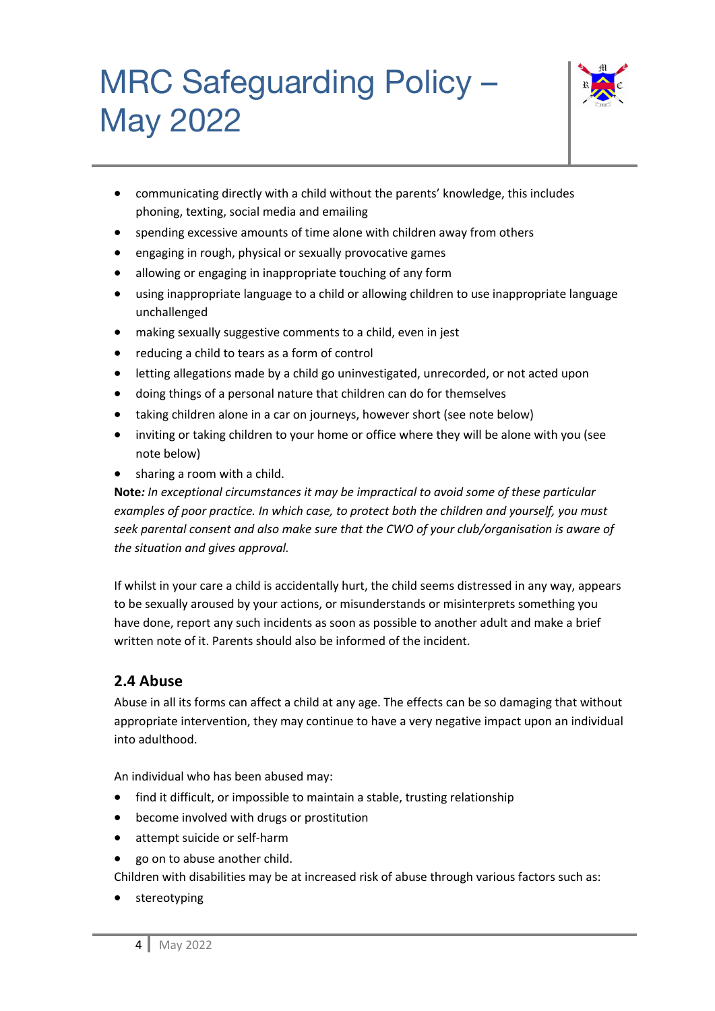

- communicating directly with a child without the parents' knowledge, this includes phoning, texting, social media and emailing
- spending excessive amounts of time alone with children away from others
- engaging in rough, physical or sexually provocative games
- allowing or engaging in inappropriate touching of any form
- using inappropriate language to a child or allowing children to use inappropriate language unchallenged
- making sexually suggestive comments to a child, even in jest
- reducing a child to tears as a form of control
- letting allegations made by a child go uninvestigated, unrecorded, or not acted upon
- doing things of a personal nature that children can do for themselves
- taking children alone in a car on journeys, however short (see note below)
- inviting or taking children to your home or office where they will be alone with you (see note below)
- sharing a room with a child.

**Note***: In exceptional circumstances it may be impractical to avoid some of these particular examples of poor practice. In which case, to protect both the children and yourself, you must seek parental consent and also make sure that the CWO of your club/organisation is aware of the situation and gives approval.*

If whilst in your care a child is accidentally hurt, the child seems distressed in any way, appears to be sexually aroused by your actions, or misunderstands or misinterprets something you have done, report any such incidents as soon as possible to another adult and make a brief written note of it. Parents should also be informed of the incident.

### **2.4 Abuse**

Abuse in all its forms can affect a child at any age. The effects can be so damaging that without appropriate intervention, they may continue to have a very negative impact upon an individual into adulthood.

An individual who has been abused may:

- find it difficult, or impossible to maintain a stable, trusting relationship
- become involved with drugs or prostitution
- attempt suicide or self-harm
- go on to abuse another child.

Children with disabilities may be at increased risk of abuse through various factors such as:

• stereotyping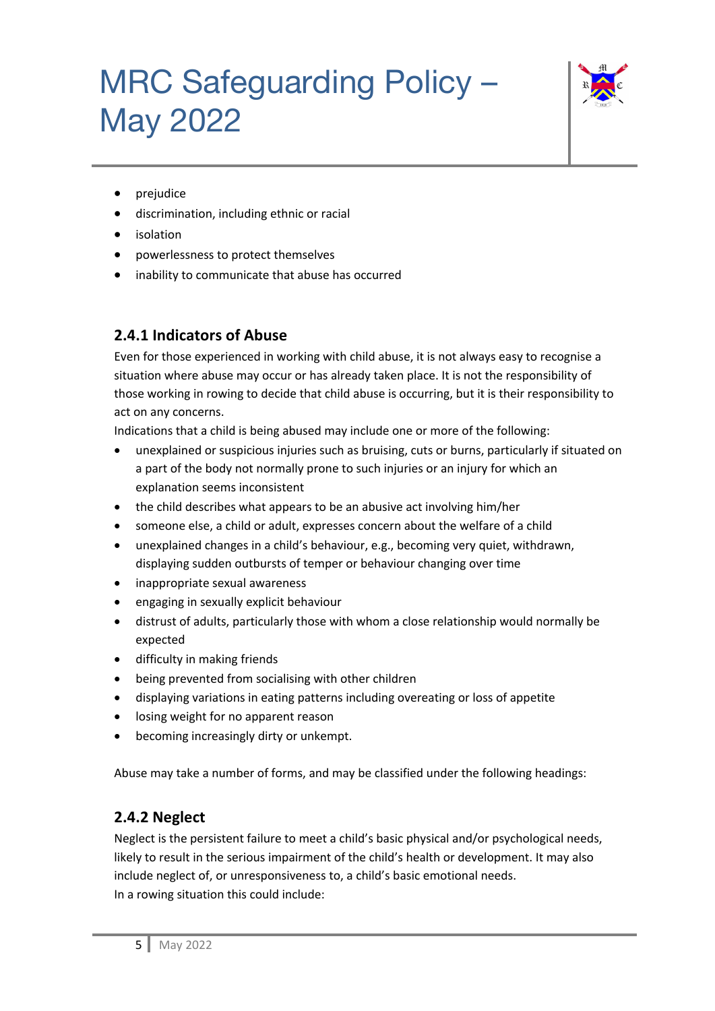

- prejudice
- discrimination, including ethnic or racial
- **isolation**
- powerlessness to protect themselves
- inability to communicate that abuse has occurred

### **2.4.1 Indicators of Abuse**

Even for those experienced in working with child abuse, it is not always easy to recognise a situation where abuse may occur or has already taken place. It is not the responsibility of those working in rowing to decide that child abuse is occurring, but it is their responsibility to act on any concerns.

Indications that a child is being abused may include one or more of the following:

- unexplained or suspicious injuries such as bruising, cuts or burns, particularly if situated on a part of the body not normally prone to such injuries or an injury for which an explanation seems inconsistent
- the child describes what appears to be an abusive act involving him/her
- someone else, a child or adult, expresses concern about the welfare of a child
- unexplained changes in a child's behaviour, e.g., becoming very quiet, withdrawn, displaying sudden outbursts of temper or behaviour changing over time
- inappropriate sexual awareness
- engaging in sexually explicit behaviour
- distrust of adults, particularly those with whom a close relationship would normally be expected
- difficulty in making friends
- being prevented from socialising with other children
- displaying variations in eating patterns including overeating or loss of appetite
- losing weight for no apparent reason
- becoming increasingly dirty or unkempt.

Abuse may take a number of forms, and may be classified under the following headings:

#### **2.4.2 Neglect**

Neglect is the persistent failure to meet a child's basic physical and/or psychological needs, likely to result in the serious impairment of the child's health or development. It may also include neglect of, or unresponsiveness to, a child's basic emotional needs. In a rowing situation this could include: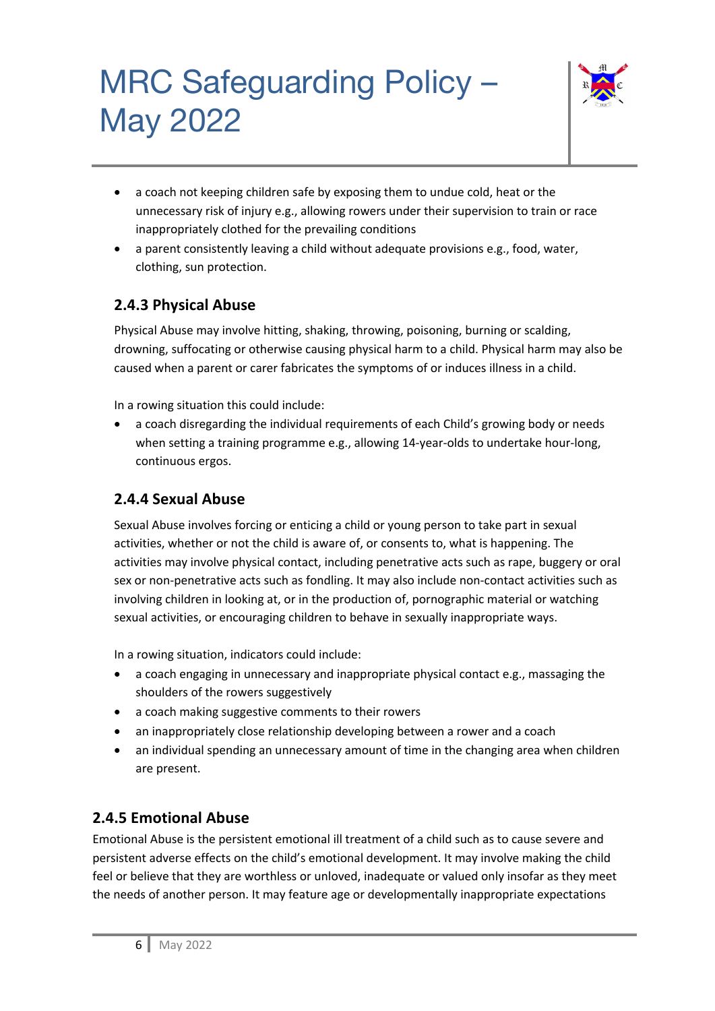

- a coach not keeping children safe by exposing them to undue cold, heat or the unnecessary risk of injury e.g., allowing rowers under their supervision to train or race inappropriately clothed for the prevailing conditions
- a parent consistently leaving a child without adequate provisions e.g., food, water, clothing, sun protection.

#### **2.4.3 Physical Abuse**

Physical Abuse may involve hitting, shaking, throwing, poisoning, burning or scalding, drowning, suffocating or otherwise causing physical harm to a child. Physical harm may also be caused when a parent or carer fabricates the symptoms of or induces illness in a child.

In a rowing situation this could include:

• a coach disregarding the individual requirements of each Child's growing body or needs when setting a training programme e.g., allowing 14-year-olds to undertake hour-long, continuous ergos.

### **2.4.4 Sexual Abuse**

Sexual Abuse involves forcing or enticing a child or young person to take part in sexual activities, whether or not the child is aware of, or consents to, what is happening. The activities may involve physical contact, including penetrative acts such as rape, buggery or oral sex or non-penetrative acts such as fondling. It may also include non-contact activities such as involving children in looking at, or in the production of, pornographic material or watching sexual activities, or encouraging children to behave in sexually inappropriate ways.

In a rowing situation, indicators could include:

- a coach engaging in unnecessary and inappropriate physical contact e.g., massaging the shoulders of the rowers suggestively
- a coach making suggestive comments to their rowers
- an inappropriately close relationship developing between a rower and a coach
- an individual spending an unnecessary amount of time in the changing area when children are present.

#### **2.4.5 Emotional Abuse**

Emotional Abuse is the persistent emotional ill treatment of a child such as to cause severe and persistent adverse effects on the child's emotional development. It may involve making the child feel or believe that they are worthless or unloved, inadequate or valued only insofar as they meet the needs of another person. It may feature age or developmentally inappropriate expectations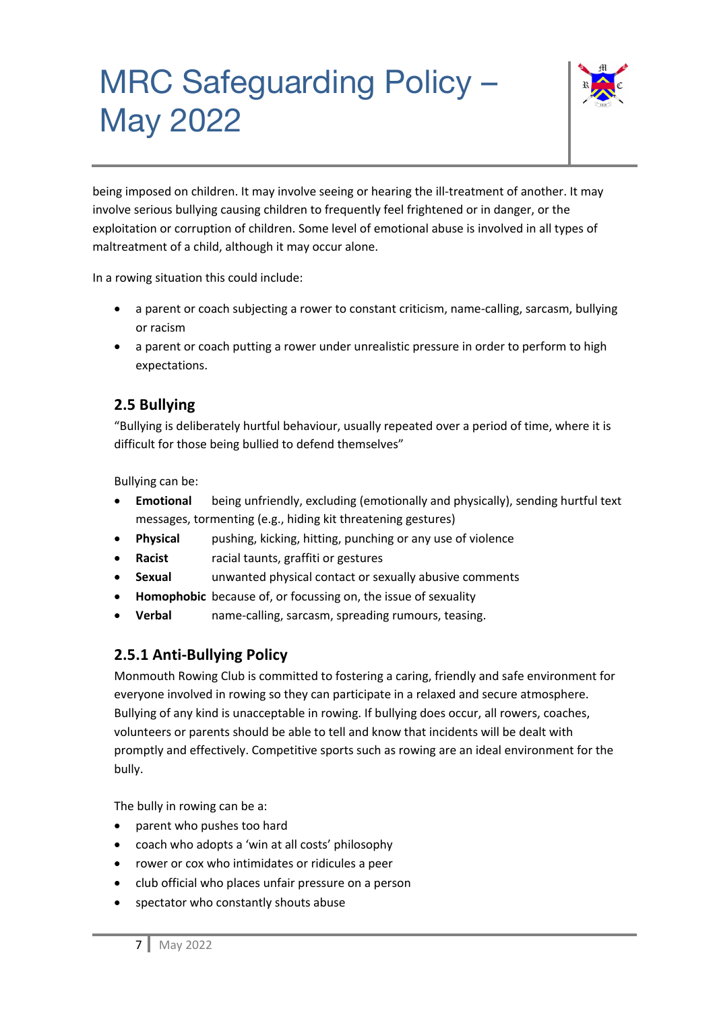

being imposed on children. It may involve seeing or hearing the ill-treatment of another. It may involve serious bullying causing children to frequently feel frightened or in danger, or the exploitation or corruption of children. Some level of emotional abuse is involved in all types of maltreatment of a child, although it may occur alone.

In a rowing situation this could include:

- a parent or coach subjecting a rower to constant criticism, name-calling, sarcasm, bullying or racism
- a parent or coach putting a rower under unrealistic pressure in order to perform to high expectations.

#### **2.5 Bullying**

"Bullying is deliberately hurtful behaviour, usually repeated over a period of time, where it is difficult for those being bullied to defend themselves"

Bullying can be:

- **Emotional** being unfriendly, excluding (emotionally and physically), sending hurtful text messages, tormenting (e.g., hiding kit threatening gestures)
- **Physical** pushing, kicking, hitting, punching or any use of violence
- **Racist** racial taunts, graffiti or gestures
- **Sexual unwanted physical contact or sexually abusive comments**
- **Homophobic** because of, or focussing on, the issue of sexuality
- **Verbal** name-calling, sarcasm, spreading rumours, teasing.

#### **2.5.1 Anti-Bullying Policy**

Monmouth Rowing Club is committed to fostering a caring, friendly and safe environment for everyone involved in rowing so they can participate in a relaxed and secure atmosphere. Bullying of any kind is unacceptable in rowing. If bullying does occur, all rowers, coaches, volunteers or parents should be able to tell and know that incidents will be dealt with promptly and effectively. Competitive sports such as rowing are an ideal environment for the bully.

The bully in rowing can be a:

- parent who pushes too hard
- coach who adopts a 'win at all costs' philosophy
- rower or cox who intimidates or ridicules a peer
- club official who places unfair pressure on a person
- spectator who constantly shouts abuse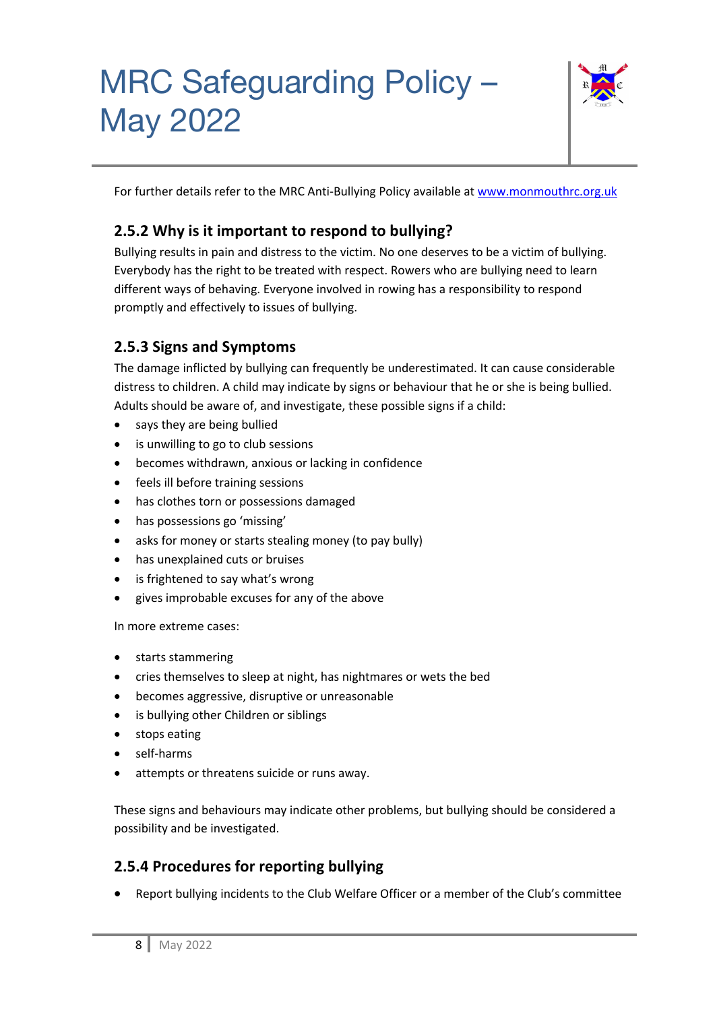

For further details refer to the MRC Anti-Bullying Policy available at www.monmouthrc.org.uk

### **2.5.2 Why is it important to respond to bullying?**

Bullying results in pain and distress to the victim. No one deserves to be a victim of bullying. Everybody has the right to be treated with respect. Rowers who are bullying need to learn different ways of behaving. Everyone involved in rowing has a responsibility to respond promptly and effectively to issues of bullying.

### **2.5.3 Signs and Symptoms**

The damage inflicted by bullying can frequently be underestimated. It can cause considerable distress to children. A child may indicate by signs or behaviour that he or she is being bullied. Adults should be aware of, and investigate, these possible signs if a child:

- says they are being bullied
- is unwilling to go to club sessions
- becomes withdrawn, anxious or lacking in confidence
- feels ill before training sessions
- has clothes torn or possessions damaged
- has possessions go 'missing'
- asks for money or starts stealing money (to pay bully)
- has unexplained cuts or bruises
- is frightened to say what's wrong
- gives improbable excuses for any of the above

In more extreme cases:

- starts stammering
- cries themselves to sleep at night, has nightmares or wets the bed
- becomes aggressive, disruptive or unreasonable
- is bullying other Children or siblings
- stops eating
- self-harms
- attempts or threatens suicide or runs away.

These signs and behaviours may indicate other problems, but bullying should be considered a possibility and be investigated.

### **2.5.4 Procedures for reporting bullying**

• Report bullying incidents to the Club Welfare Officer or a member of the Club's committee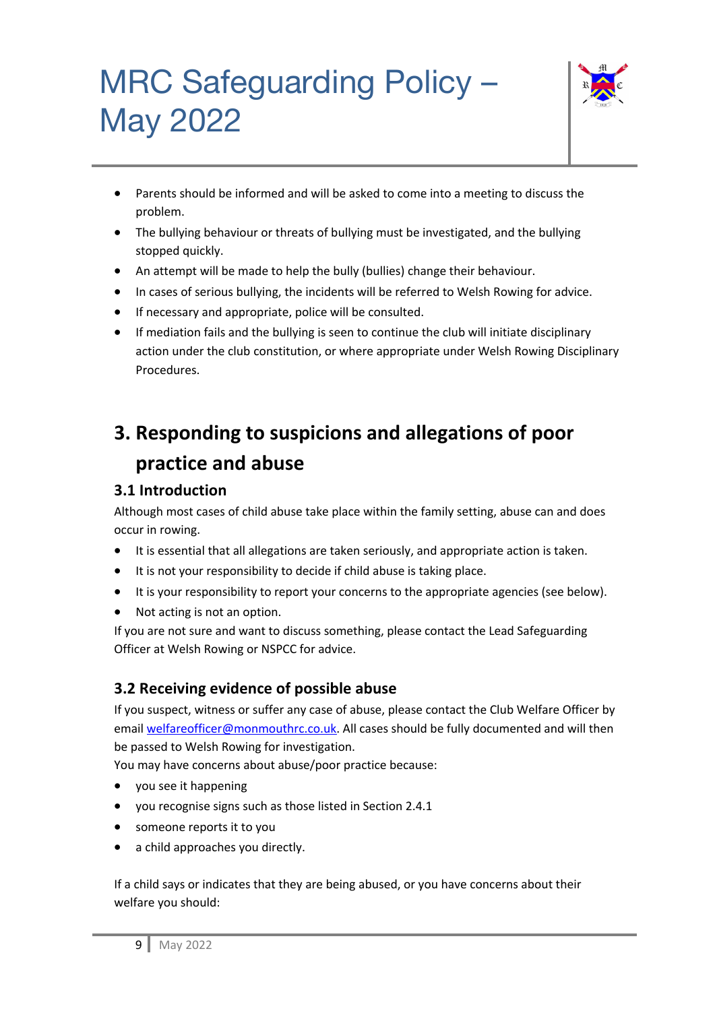

- Parents should be informed and will be asked to come into a meeting to discuss the problem.
- The bullying behaviour or threats of bullying must be investigated, and the bullying stopped quickly.
- An attempt will be made to help the bully (bullies) change their behaviour.
- In cases of serious bullying, the incidents will be referred to Welsh Rowing for advice.
- If necessary and appropriate, police will be consulted.
- If mediation fails and the bullying is seen to continue the club will initiate disciplinary action under the club constitution, or where appropriate under Welsh Rowing Disciplinary Procedures.

### **3. Responding to suspicions and allegations of poor practice and abuse**

### **3.1 Introduction**

Although most cases of child abuse take place within the family setting, abuse can and does occur in rowing.

- It is essential that all allegations are taken seriously, and appropriate action is taken.
- It is not your responsibility to decide if child abuse is taking place.
- It is your responsibility to report your concerns to the appropriate agencies (see below).
- Not acting is not an option.

If you are not sure and want to discuss something, please contact the Lead Safeguarding Officer at Welsh Rowing or NSPCC for advice.

### **3.2 Receiving evidence of possible abuse**

If you suspect, witness or suffer any case of abuse, please contact the Club Welfare Officer by email welfareofficer@monmouthrc.co.uk. All cases should be fully documented and will then be passed to Welsh Rowing for investigation.

You may have concerns about abuse/poor practice because:

- you see it happening
- you recognise signs such as those listed in Section 2.4.1
- someone reports it to you
- a child approaches you directly.

If a child says or indicates that they are being abused, or you have concerns about their welfare you should: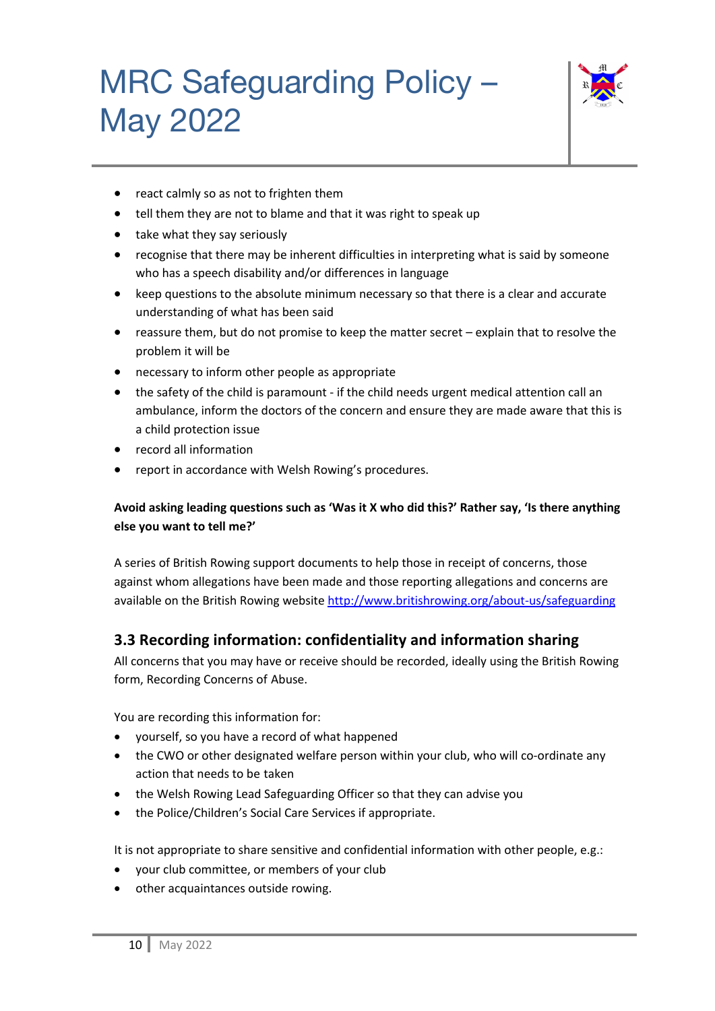

- react calmly so as not to frighten them
- tell them they are not to blame and that it was right to speak up
- take what they say seriously
- recognise that there may be inherent difficulties in interpreting what is said by someone who has a speech disability and/or differences in language
- keep questions to the absolute minimum necessary so that there is a clear and accurate understanding of what has been said
- reassure them, but do not promise to keep the matter secret explain that to resolve the problem it will be
- necessary to inform other people as appropriate
- the safety of the child is paramount if the child needs urgent medical attention call an ambulance, inform the doctors of the concern and ensure they are made aware that this is a child protection issue
- record all information
- report in accordance with Welsh Rowing's procedures.

#### **Avoid asking leading questions such as 'Was it X who did this?' Rather say, 'Is there anything else you want to tell me?'**

A series of British Rowing support documents to help those in receipt of concerns, those against whom allegations have been made and those reporting allegations and concerns are available on the British Rowing website http://www.britishrowing.org/about-us/safeguarding

#### **3.3 Recording information: confidentiality and information sharing**

All concerns that you may have or receive should be recorded, ideally using the British Rowing form, Recording Concerns of Abuse.

You are recording this information for:

- yourself, so you have a record of what happened
- the CWO or other designated welfare person within your club, who will co-ordinate any action that needs to be taken
- the Welsh Rowing Lead Safeguarding Officer so that they can advise you
- the Police/Children's Social Care Services if appropriate.

It is not appropriate to share sensitive and confidential information with other people, e.g.:

- your club committee, or members of your club
- other acquaintances outside rowing.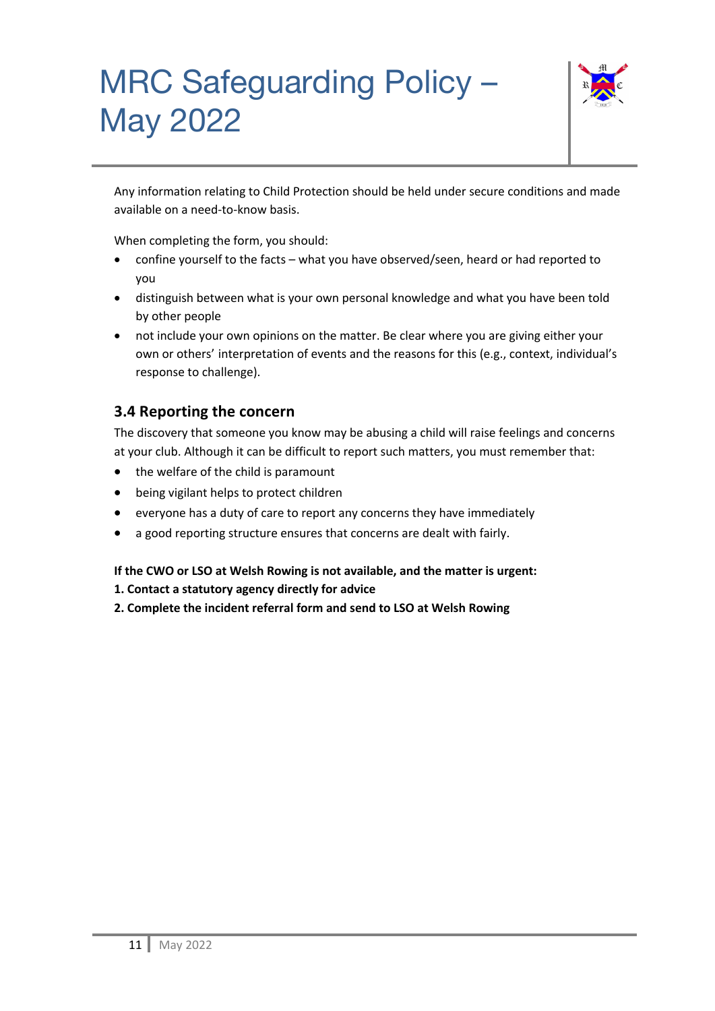

Any information relating to Child Protection should be held under secure conditions and made available on a need-to-know basis.

When completing the form, you should:

- confine yourself to the facts what you have observed/seen, heard or had reported to you
- distinguish between what is your own personal knowledge and what you have been told by other people
- not include your own opinions on the matter. Be clear where you are giving either your own or others' interpretation of events and the reasons for this (e.g., context, individual's response to challenge).

### **3.4 Reporting the concern**

The discovery that someone you know may be abusing a child will raise feelings and concerns at your club. Although it can be difficult to report such matters, you must remember that:

- the welfare of the child is paramount
- being vigilant helps to protect children
- everyone has a duty of care to report any concerns they have immediately
- a good reporting structure ensures that concerns are dealt with fairly.

#### **If the CWO or LSO at Welsh Rowing is not available, and the matter is urgent:**

- **1. Contact a statutory agency directly for advice**
- **2. Complete the incident referral form and send to LSO at Welsh Rowing**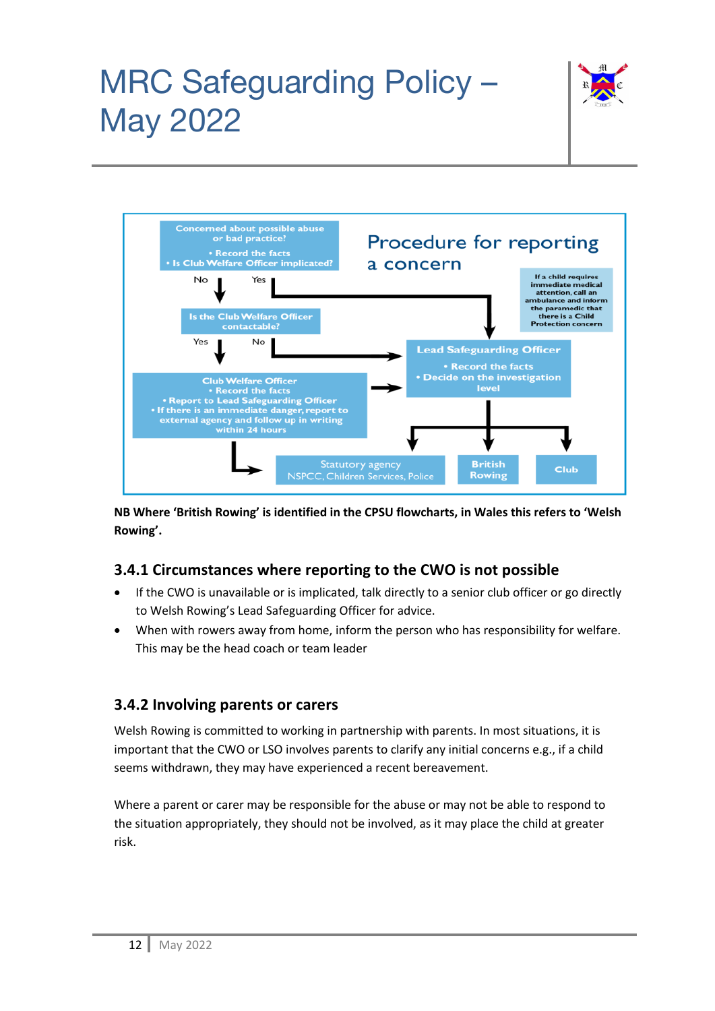



**NB Where 'British Rowing' is identified in the CPSU flowcharts, in Wales this refers to 'Welsh Rowing'.**

#### **3.4.1 Circumstances where reporting to the CWO is not possible**

- If the CWO is unavailable or is implicated, talk directly to a senior club officer or go directly to Welsh Rowing's Lead Safeguarding Officer for advice.
- When with rowers away from home, inform the person who has responsibility for welfare. This may be the head coach or team leader

#### **3.4.2 Involving parents or carers**

Welsh Rowing is committed to working in partnership with parents. In most situations, it is important that the CWO or LSO involves parents to clarify any initial concerns e.g., if a child seems withdrawn, they may have experienced a recent bereavement.

Where a parent or carer may be responsible for the abuse or may not be able to respond to the situation appropriately, they should not be involved, as it may place the child at greater risk.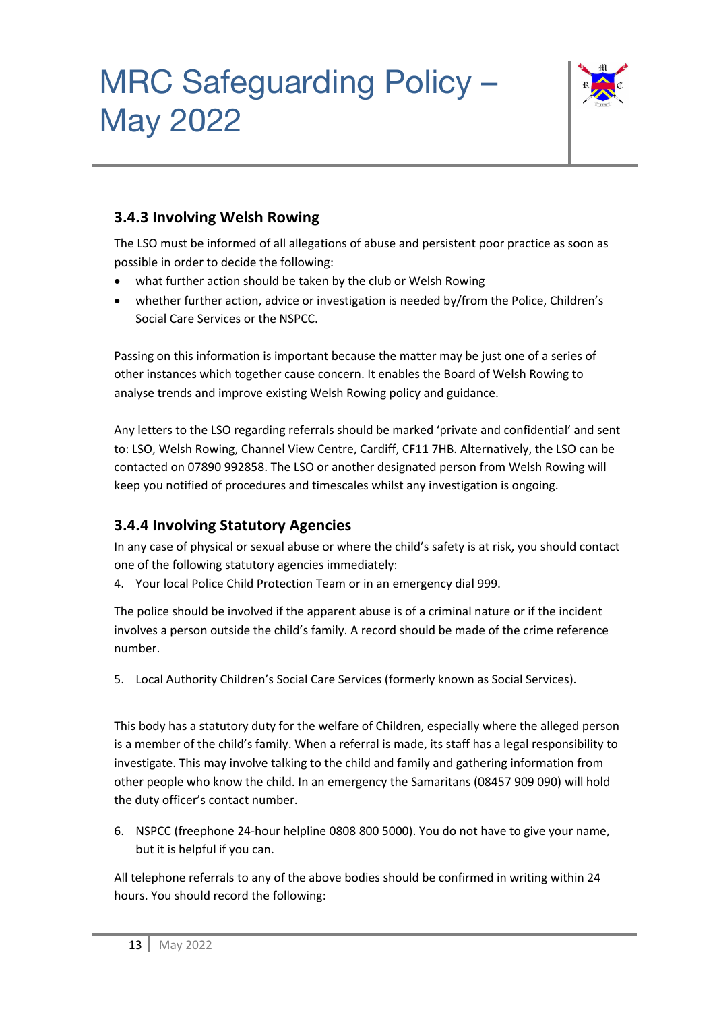

### **3.4.3 Involving Welsh Rowing**

The LSO must be informed of all allegations of abuse and persistent poor practice as soon as possible in order to decide the following:

- what further action should be taken by the club or Welsh Rowing
- whether further action, advice or investigation is needed by/from the Police, Children's Social Care Services or the NSPCC.

Passing on this information is important because the matter may be just one of a series of other instances which together cause concern. It enables the Board of Welsh Rowing to analyse trends and improve existing Welsh Rowing policy and guidance.

Any letters to the LSO regarding referrals should be marked 'private and confidential' and sent to: LSO, Welsh Rowing, Channel View Centre, Cardiff, CF11 7HB. Alternatively, the LSO can be contacted on 07890 992858. The LSO or another designated person from Welsh Rowing will keep you notified of procedures and timescales whilst any investigation is ongoing.

### **3.4.4 Involving Statutory Agencies**

In any case of physical or sexual abuse or where the child's safety is at risk, you should contact one of the following statutory agencies immediately:

4. Your local Police Child Protection Team or in an emergency dial 999.

The police should be involved if the apparent abuse is of a criminal nature or if the incident involves a person outside the child's family. A record should be made of the crime reference number.

5. Local Authority Children's Social Care Services (formerly known as Social Services).

This body has a statutory duty for the welfare of Children, especially where the alleged person is a member of the child's family. When a referral is made, its staff has a legal responsibility to investigate. This may involve talking to the child and family and gathering information from other people who know the child. In an emergency the Samaritans (08457 909 090) will hold the duty officer's contact number.

6. NSPCC (freephone 24-hour helpline 0808 800 5000). You do not have to give your name, but it is helpful if you can.

All telephone referrals to any of the above bodies should be confirmed in writing within 24 hours. You should record the following: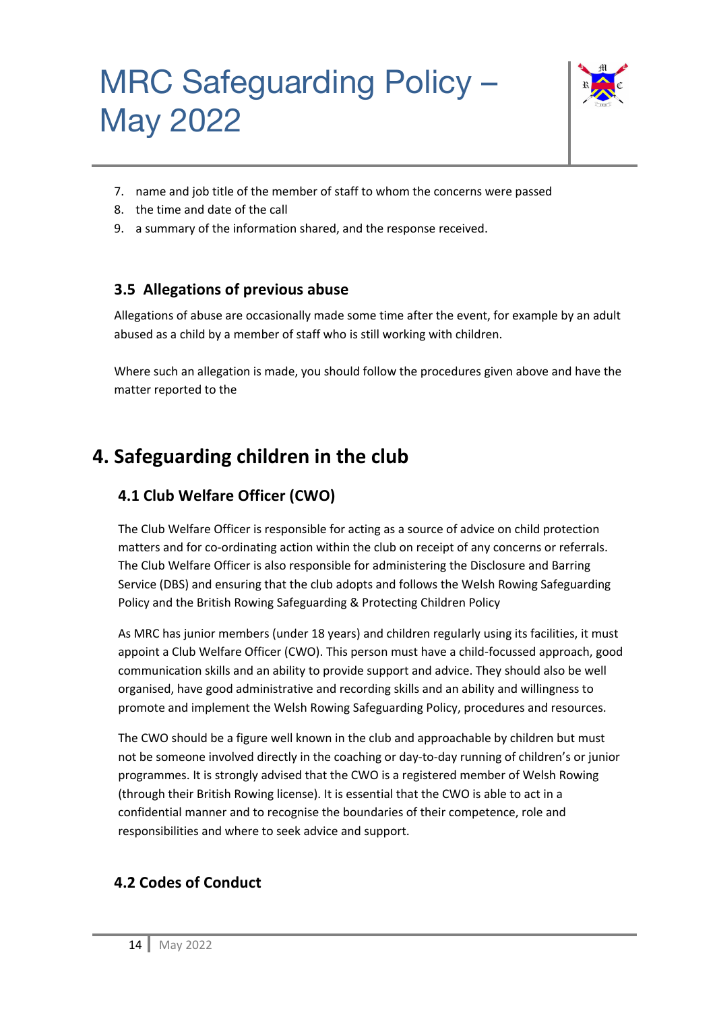

- 7. name and job title of the member of staff to whom the concerns were passed
- 8. the time and date of the call
- 9. a summary of the information shared, and the response received.

### **3.5 Allegations of previous abuse**

Allegations of abuse are occasionally made some time after the event, for example by an adult abused as a child by a member of staff who is still working with children.

Where such an allegation is made, you should follow the procedures given above and have the matter reported to the

### **4. Safeguarding children in the club**

### **4.1 Club Welfare Officer (CWO)**

The Club Welfare Officer is responsible for acting as a source of advice on child protection matters and for co-ordinating action within the club on receipt of any concerns or referrals. The Club Welfare Officer is also responsible for administering the Disclosure and Barring Service (DBS) and ensuring that the club adopts and follows the Welsh Rowing Safeguarding Policy and the British Rowing Safeguarding & Protecting Children Policy

As MRC has junior members (under 18 years) and children regularly using its facilities, it must appoint a Club Welfare Officer (CWO). This person must have a child-focussed approach, good communication skills and an ability to provide support and advice. They should also be well organised, have good administrative and recording skills and an ability and willingness to promote and implement the Welsh Rowing Safeguarding Policy, procedures and resources.

The CWO should be a figure well known in the club and approachable by children but must not be someone involved directly in the coaching or day-to-day running of children's or junior programmes. It is strongly advised that the CWO is a registered member of Welsh Rowing (through their British Rowing license). It is essential that the CWO is able to act in a confidential manner and to recognise the boundaries of their competence, role and responsibilities and where to seek advice and support.

### **4.2 Codes of Conduct**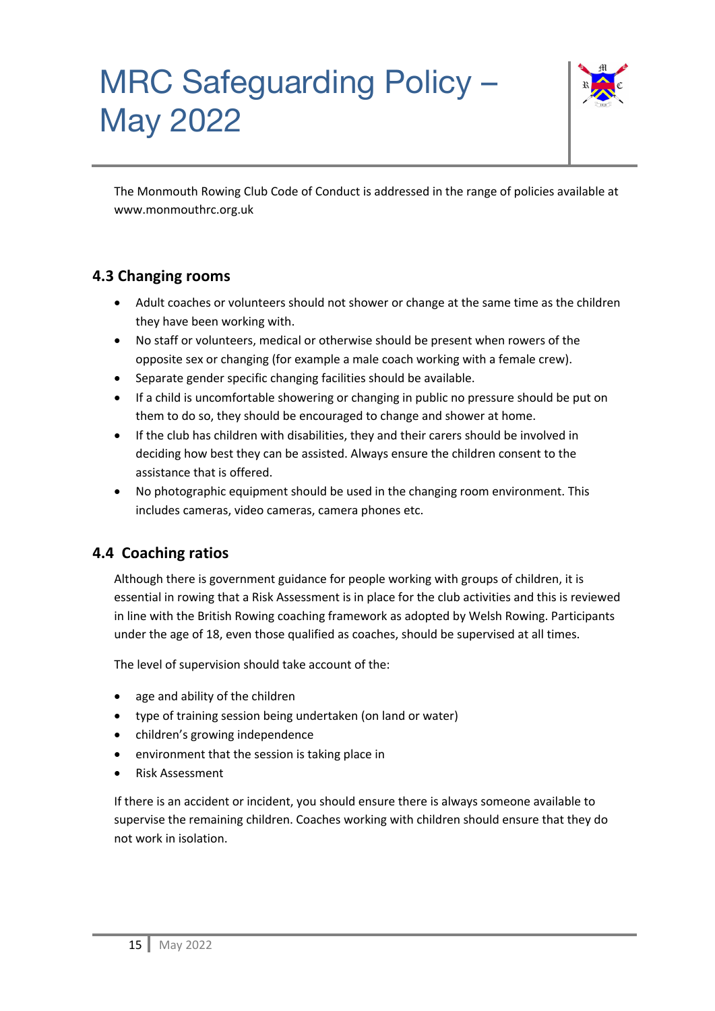

The Monmouth Rowing Club Code of Conduct is addressed in the range of policies available at www.monmouthrc.org.uk

### **4.3 Changing rooms**

- Adult coaches or volunteers should not shower or change at the same time as the children they have been working with.
- No staff or volunteers, medical or otherwise should be present when rowers of the opposite sex or changing (for example a male coach working with a female crew).
- Separate gender specific changing facilities should be available.
- If a child is uncomfortable showering or changing in public no pressure should be put on them to do so, they should be encouraged to change and shower at home.
- If the club has children with disabilities, they and their carers should be involved in deciding how best they can be assisted. Always ensure the children consent to the assistance that is offered.
- No photographic equipment should be used in the changing room environment. This includes cameras, video cameras, camera phones etc.

### **4.4 Coaching ratios**

Although there is government guidance for people working with groups of children, it is essential in rowing that a Risk Assessment is in place for the club activities and this is reviewed in line with the British Rowing coaching framework as adopted by Welsh Rowing. Participants under the age of 18, even those qualified as coaches, should be supervised at all times.

The level of supervision should take account of the:

- age and ability of the children
- type of training session being undertaken (on land or water)
- children's growing independence
- environment that the session is taking place in
- Risk Assessment

If there is an accident or incident, you should ensure there is always someone available to supervise the remaining children. Coaches working with children should ensure that they do not work in isolation.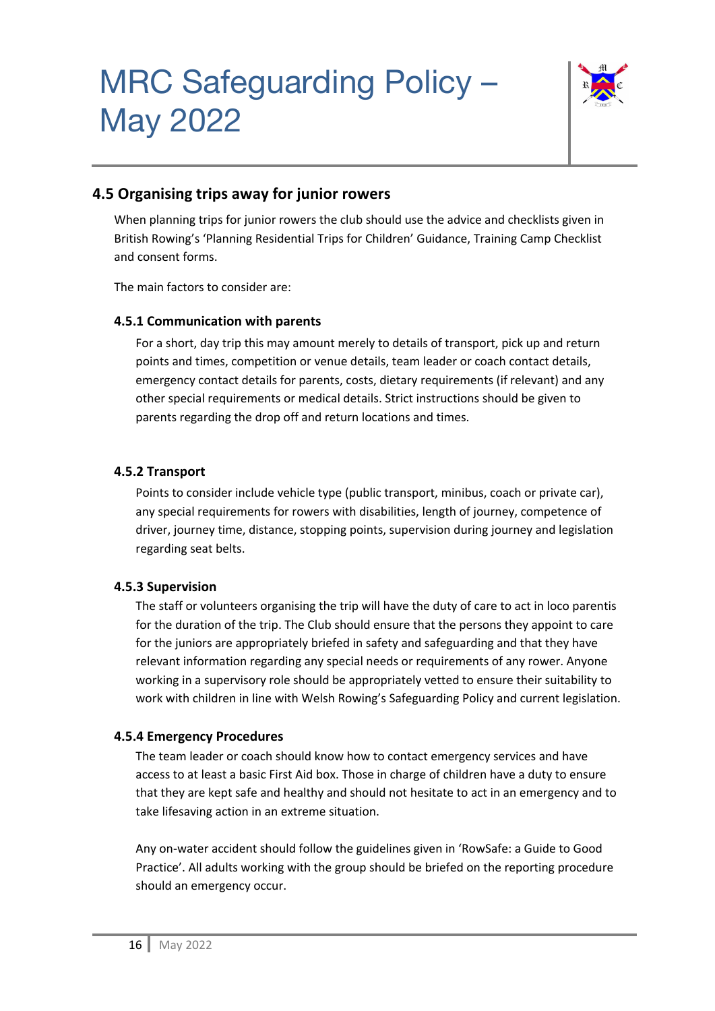

#### **4.5 Organising trips away for junior rowers**

When planning trips for junior rowers the club should use the advice and checklists given in British Rowing's 'Planning Residential Trips for Children' Guidance, Training Camp Checklist and consent forms.

The main factors to consider are:

#### **4.5.1 Communication with parents**

For a short, day trip this may amount merely to details of transport, pick up and return points and times, competition or venue details, team leader or coach contact details, emergency contact details for parents, costs, dietary requirements (if relevant) and any other special requirements or medical details. Strict instructions should be given to parents regarding the drop off and return locations and times.

#### **4.5.2 Transport**

Points to consider include vehicle type (public transport, minibus, coach or private car), any special requirements for rowers with disabilities, length of journey, competence of driver, journey time, distance, stopping points, supervision during journey and legislation regarding seat belts.

#### **4.5.3 Supervision**

The staff or volunteers organising the trip will have the duty of care to act in loco parentis for the duration of the trip. The Club should ensure that the persons they appoint to care for the juniors are appropriately briefed in safety and safeguarding and that they have relevant information regarding any special needs or requirements of any rower. Anyone working in a supervisory role should be appropriately vetted to ensure their suitability to work with children in line with Welsh Rowing's Safeguarding Policy and current legislation.

#### **4.5.4 Emergency Procedures**

The team leader or coach should know how to contact emergency services and have access to at least a basic First Aid box. Those in charge of children have a duty to ensure that they are kept safe and healthy and should not hesitate to act in an emergency and to take lifesaving action in an extreme situation.

Any on-water accident should follow the guidelines given in 'RowSafe: a Guide to Good Practice'. All adults working with the group should be briefed on the reporting procedure should an emergency occur.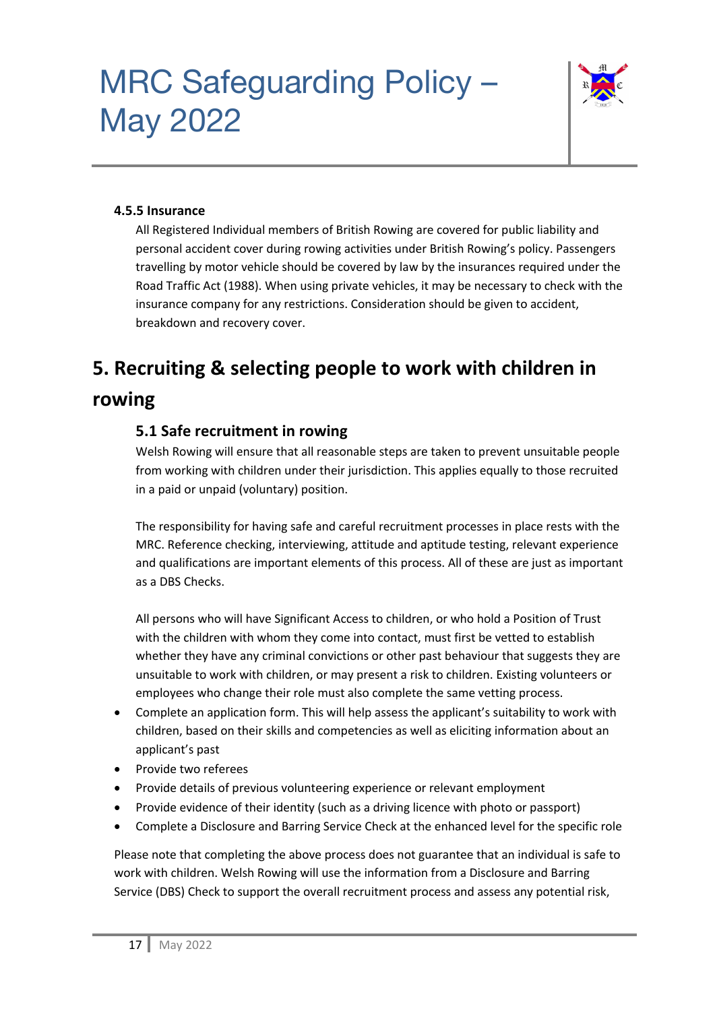

#### **4.5.5 Insurance**

All Registered Individual members of British Rowing are covered for public liability and personal accident cover during rowing activities under British Rowing's policy. Passengers travelling by motor vehicle should be covered by law by the insurances required under the Road Traffic Act (1988). When using private vehicles, it may be necessary to check with the insurance company for any restrictions. Consideration should be given to accident, breakdown and recovery cover.

### **5. Recruiting & selecting people to work with children in rowing**

#### **5.1 Safe recruitment in rowing**

Welsh Rowing will ensure that all reasonable steps are taken to prevent unsuitable people from working with children under their jurisdiction. This applies equally to those recruited in a paid or unpaid (voluntary) position.

The responsibility for having safe and careful recruitment processes in place rests with the MRC. Reference checking, interviewing, attitude and aptitude testing, relevant experience and qualifications are important elements of this process. All of these are just as important as a DBS Checks.

All persons who will have Significant Access to children, or who hold a Position of Trust with the children with whom they come into contact, must first be vetted to establish whether they have any criminal convictions or other past behaviour that suggests they are unsuitable to work with children, or may present a risk to children. Existing volunteers or employees who change their role must also complete the same vetting process.

- Complete an application form. This will help assess the applicant's suitability to work with children, based on their skills and competencies as well as eliciting information about an applicant's past
- Provide two referees
- Provide details of previous volunteering experience or relevant employment
- Provide evidence of their identity (such as a driving licence with photo or passport)
- Complete a Disclosure and Barring Service Check at the enhanced level for the specific role

Please note that completing the above process does not guarantee that an individual is safe to work with children. Welsh Rowing will use the information from a Disclosure and Barring Service (DBS) Check to support the overall recruitment process and assess any potential risk,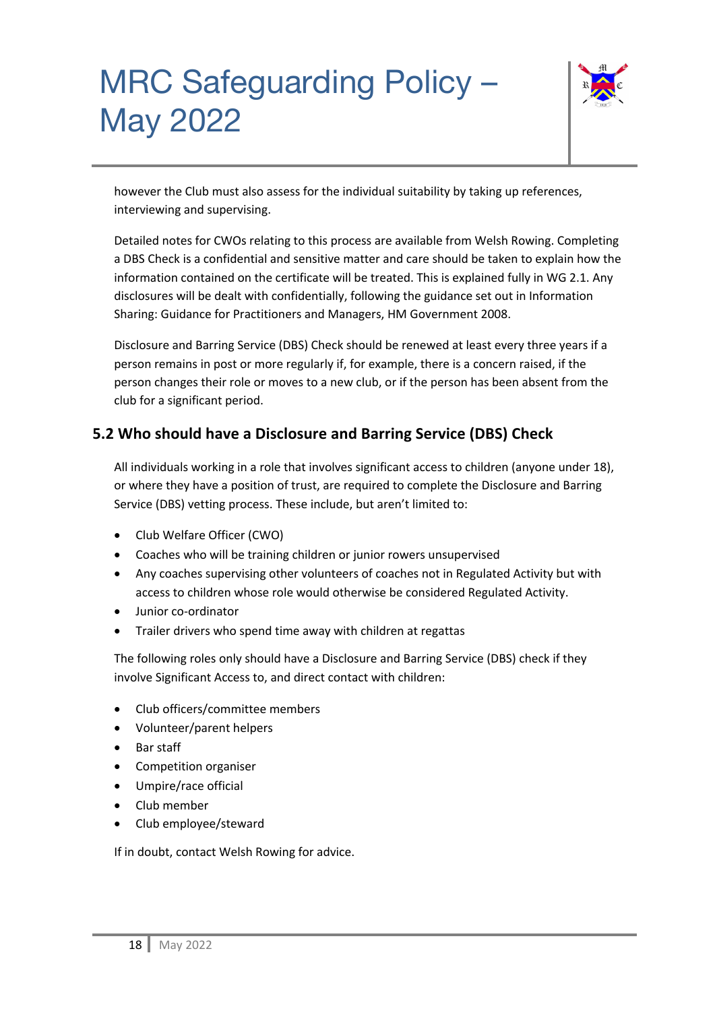

however the Club must also assess for the individual suitability by taking up references, interviewing and supervising.

Detailed notes for CWOs relating to this process are available from Welsh Rowing. Completing a DBS Check is a confidential and sensitive matter and care should be taken to explain how the information contained on the certificate will be treated. This is explained fully in WG 2.1. Any disclosures will be dealt with confidentially, following the guidance set out in Information Sharing: Guidance for Practitioners and Managers, HM Government 2008.

Disclosure and Barring Service (DBS) Check should be renewed at least every three years if a person remains in post or more regularly if, for example, there is a concern raised, if the person changes their role or moves to a new club, or if the person has been absent from the club for a significant period.

### **5.2 Who should have a Disclosure and Barring Service (DBS) Check**

All individuals working in a role that involves significant access to children (anyone under 18), or where they have a position of trust, are required to complete the Disclosure and Barring Service (DBS) vetting process. These include, but aren't limited to:

- Club Welfare Officer (CWO)
- Coaches who will be training children or junior rowers unsupervised
- Any coaches supervising other volunteers of coaches not in Regulated Activity but with access to children whose role would otherwise be considered Regulated Activity.
- Junior co-ordinator
- Trailer drivers who spend time away with children at regattas

The following roles only should have a Disclosure and Barring Service (DBS) check if they involve Significant Access to, and direct contact with children:

- Club officers/committee members
- Volunteer/parent helpers
- Bar staff
- Competition organiser
- Umpire/race official
- Club member
- Club employee/steward

If in doubt, contact Welsh Rowing for advice.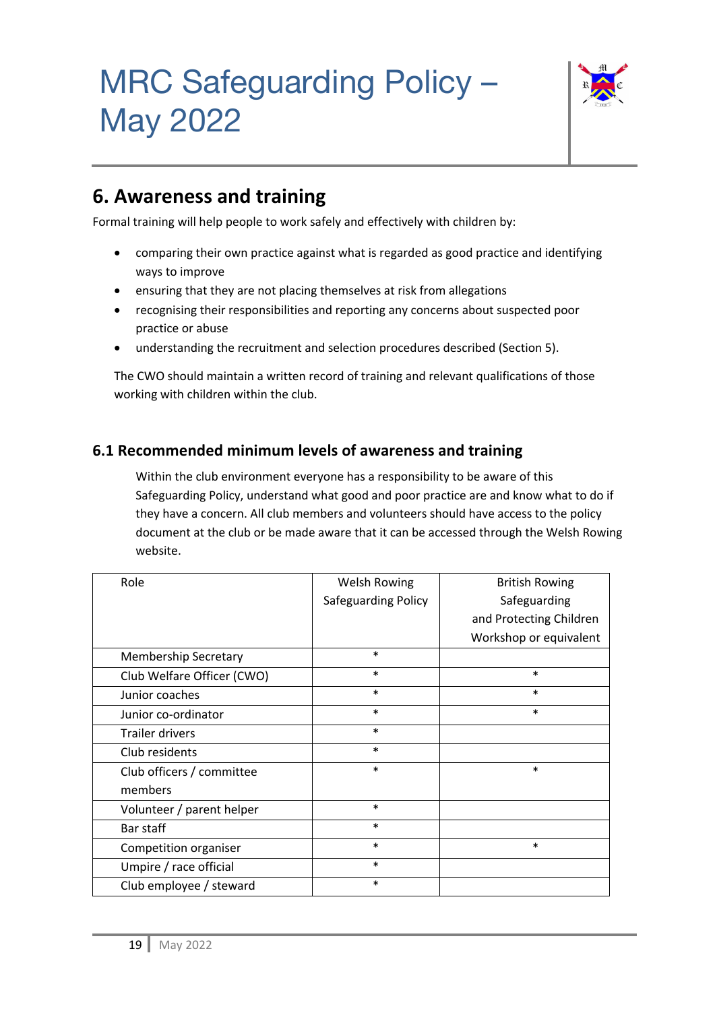

### **6. Awareness and training**

Formal training will help people to work safely and effectively with children by:

- comparing their own practice against what is regarded as good practice and identifying ways to improve
- ensuring that they are not placing themselves at risk from allegations
- recognising their responsibilities and reporting any concerns about suspected poor practice or abuse
- understanding the recruitment and selection procedures described (Section 5).

The CWO should maintain a written record of training and relevant qualifications of those working with children within the club.

### **6.1 Recommended minimum levels of awareness and training**

Within the club environment everyone has a responsibility to be aware of this Safeguarding Policy, understand what good and poor practice are and know what to do if they have a concern. All club members and volunteers should have access to the policy document at the club or be made aware that it can be accessed through the Welsh Rowing website.

| Role                        | Welsh Rowing        | <b>British Rowing</b>   |
|-----------------------------|---------------------|-------------------------|
|                             | Safeguarding Policy | Safeguarding            |
|                             |                     | and Protecting Children |
|                             |                     | Workshop or equivalent  |
| <b>Membership Secretary</b> | $\ast$              |                         |
| Club Welfare Officer (CWO)  | $\ast$              | $\ast$                  |
| Junior coaches              | $\ast$              | $\ast$                  |
| Junior co-ordinator         | $\ast$              | $\ast$                  |
| <b>Trailer drivers</b>      | $\ast$              |                         |
| Club residents              | $\ast$              |                         |
| Club officers / committee   | $\ast$              | $\ast$                  |
| members                     |                     |                         |
| Volunteer / parent helper   | $\ast$              |                         |
| Bar staff                   | $\ast$              |                         |
| Competition organiser       | $\ast$              | $\ast$                  |
| Umpire / race official      | $\ast$              |                         |
| Club employee / steward     | $\ast$              |                         |